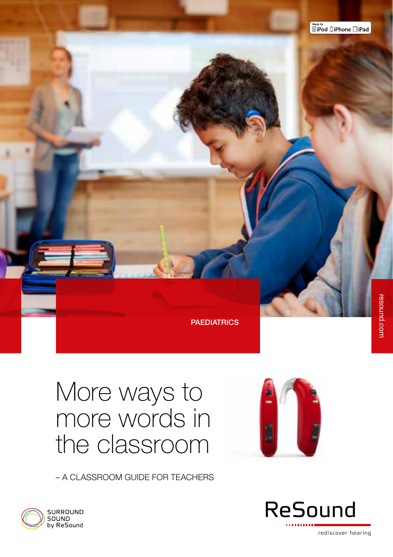

### **PAEDIATRICS**

## More ways to more words in the classroom

– A CLASSROOM GUIDE FOR TEACHERS







rediscover hearing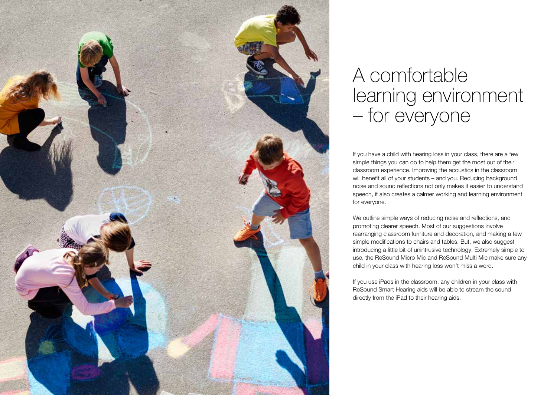

# A comfortable learning environment – for everyone

If you have a child with hearing loss in your class, there are a few simple things you can do to help them get the most out of their classroom experience. Improving the acoustics in the classroom will benefit all of your students – and you. Reducing background noise and sound reflections not only makes it easier to understand speech, it also creates a calmer working and learning environment for everyone.

We outline simple ways of reducing noise and reflections, and promoting clearer speech. Most of our suggestions involve rearranging classroom furniture and decoration, and making a few simple modifications to chairs and tables. But, we also suggest introducing a little bit of unintrusive technology. Extremely simple to use, the ReSound Micro Mic and ReSound Multi Mic make sure any child in your class with hearing loss won't miss a word.

If you use iPads in the classroom, any children in your class with ReSound Smart Hearing aids will be able to stream the sound directly from the iPad to their hearing aids.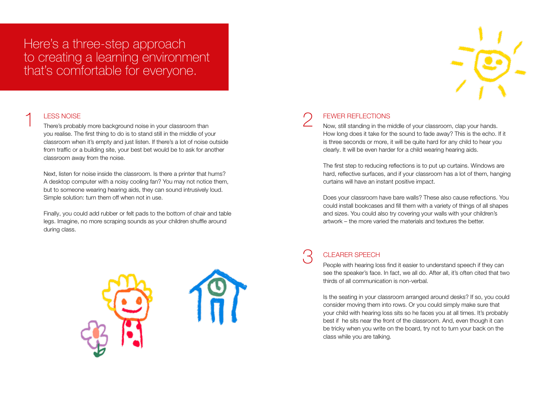### Here's a three-step approach to creating a learning environment that's comfortable for everyone.



### LESS NOISE

There's probably more background noise in your classroom than  $\sum$ you realise. The first thing to do is to stand still in the middle of your classroom when it's empty and just listen. If there's a lot of noise outside from traffic or a building site, your best bet would be to ask for another classroom away from the noise.

Next, listen for noise inside the classroom. Is there a printer that hums? A desktop computer with a noisy cooling fan? You may not notice them, but to someone wearing hearing aids, they can sound intrusively loud. Simple solution: turn them off when not in use.

Finally, you could add rubber or felt pads to the bottom of chair and table legs. Imagine, no more scraping sounds as your children shuffle around during class.



### FEWER REFLECTIONS

Now, still standing in the middle of your classroom, clap your hands. How long does it take for the sound to fade away? This is the echo. If it is three seconds or more, it will be quite hard for any child to hear you clearly. It will be even harder for a child wearing hearing aids.

The first step to reducing reflections is to put up curtains. Windows are hard, reflective surfaces, and if your classroom has a lot of them, hanging curtains will have an instant positive impact.

Does your classroom have bare walls? These also cause reflections. You could install bookcases and fill them with a variety of things of all shapes and sizes. You could also try covering your walls with your children's artwork – the more varied the materials and textures the better.

### CLEARER SPEECH

3

People with hearing loss find it easier to understand speech if they can see the speaker's face. In fact, we all do. After all, it's often cited that two thirds of all communication is non-verbal.

Is the seating in your classroom arranged around desks? If so, you could consider moving them into rows. Or you could simply make sure that your child with hearing loss sits so he faces you at all times. It's probably best if he sits near the front of the classroom. And, even though it can be tricky when you write on the board, try not to turn your back on the class while you are talking.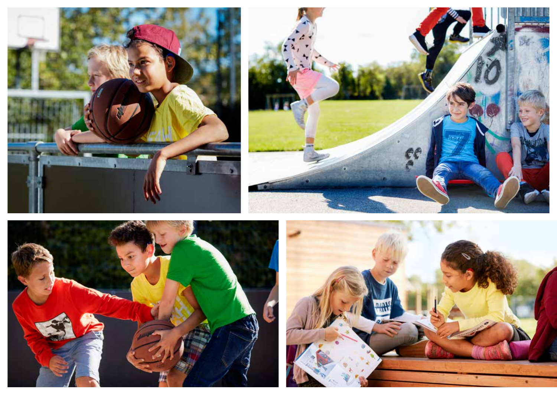





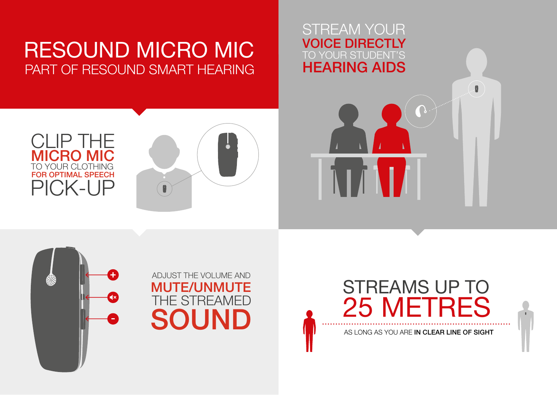## PART OF RESOUND SMART HEARING RESOUND MICRO MIC









STREAMS UP TO THE STREAMED<br>SOUND & 25 METRES

AS LONG AS YOU ARE IN CLEAR LINE OF SIGHT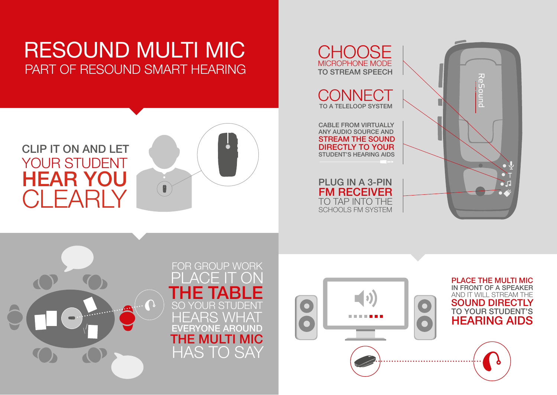## PART OF RESOUND SMART HEARING RESOUND MULTI MIC



TO STREAM SPEECH HOOSE MICROPHONE MODE

TO A TELELOOP SYSTEM CONNECT

CABLE FROM VIRTUALLY ANY AUDIO SOURCE AND STREAM THE SOUND STUDENT'S HEARING AIDS DIRECTLY TO YOUR

PLUG IN A 3-PIN FM RECEIVER TO TAP INTO THE SCHOOLS FM SYSTEM





FOR GROUP WORK PLACE IT ON SO YOUR STUDENT HEARS WHAT AROUND THE MULTI MIC THE TABL HAS TO SAY